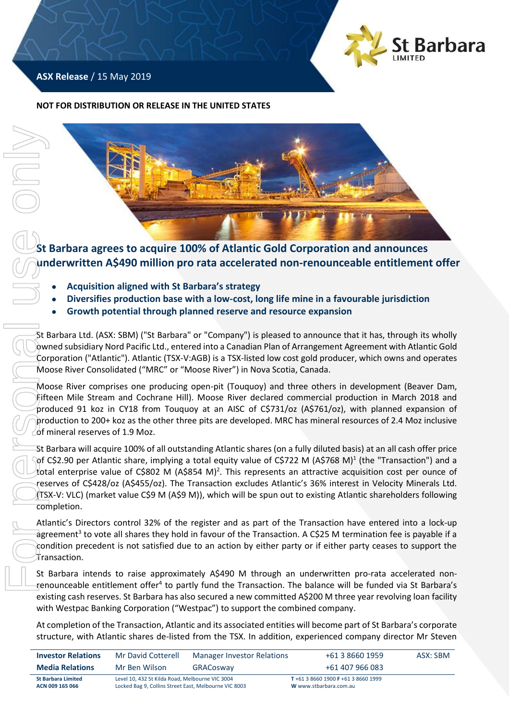

## **ASX Release** / 15 May 2019

#### **NOT FOR DISTRIBUTION OR RELEASE IN THE UNITED STATES**



**St Barbara agrees to acquire 100% of Atlantic Gold Corporation and announces underwritten A\$490 million pro rata accelerated non-renounceable entitlement offer**

- **Acquisition aligned with St Barbara's strategy**
- **Diversifies production base with a low-cost, long life mine in a favourable jurisdiction**
- **Growth potential through planned reserve and resource expansion**

St Barbara Ltd. (ASX: SBM) ("St Barbara" or "Company") is pleased to announce that it has, through its wholly owned subsidiary Nord Pacific Ltd., entered into a Canadian Plan of Arrangement Agreement with Atlantic Gold Corporation ("Atlantic"). Atlantic (TSX-V:AGB) is a TSX-listed low cost gold producer, which owns and operates Moose River Consolidated ("MRC" or "Moose River") in Nova Scotia, Canada.

Moose River comprises one producing open-pit (Touquoy) and three others in development (Beaver Dam, Fifteen Mile Stream and Cochrane Hill). Moose River declared commercial production in March 2018 and produced 91 koz in CY18 from Touquoy at an AISC of C\$731/oz (A\$761/oz), with planned expansion of production to 200+ koz as the other three pits are developed. MRC has mineral resources of 2.4 Moz inclusive of mineral reserves of 1.9 Moz.

St Barbara will acquire 100% of all outstanding Atlantic shares (on a fully diluted basis) at an all cash offer price of C\$2.90 per Atlantic share, implying a total equity value of C\$722 M (A\$768 M)<sup>1</sup> (the "Transaction") and a total enterprise value of C\$802 M (A\$854 M)<sup>2</sup>. This represents an attractive acquisition cost per ounce of reserves of C\$428/oz (A\$455/oz). The Transaction excludes Atlantic's 36% interest in Velocity Minerals Ltd. (TSX-V: VLC) (market value C\$9 M (A\$9 M)), which will be spun out to existing Atlantic shareholders following completion.

Atlantic's Directors control 32% of the register and as part of the Transaction have entered into a lock-up agreement<sup>3</sup> to vote all shares they hold in favour of the Transaction. A C\$25 M termination fee is payable if a condition precedent is not satisfied due to an action by either party or if either party ceases to support the Transaction.

St Barbara intends to raise approximately A\$490 M through an underwritten pro-rata accelerated nonrenounceable entitlement offer<sup>4</sup> to partly fund the Transaction. The balance will be funded via St Barbara's existing cash reserves. St Barbara has also secured a new committed A\$200 M three year revolving loan facility with Westpac Banking Corporation ("Westpac") to support the combined company.

At completion of the Transaction, Atlantic and its associated entities will become part of St Barbara's corporate

| <b>Investor Relations</b>                    | Mr David Cotterell                                                                                       | Manager Investor Relations | +61 3 8660 1959                                             | ASX: SBM |
|----------------------------------------------|----------------------------------------------------------------------------------------------------------|----------------------------|-------------------------------------------------------------|----------|
| <b>Media Relations</b>                       | Mr Ben Wilson                                                                                            | GRACosway                  | +61 407 966 083                                             |          |
| <b>St Barbara Limited</b><br>ACN 009 165 066 | Level 10, 432 St Kilda Road, Melbourne VIC 3004<br>Locked Bag 9, Collins Street East, Melbourne VIC 8003 |                            | T+61 3 8660 1900 F+61 3 8660 1999<br>W www.stbarbara.com.au |          |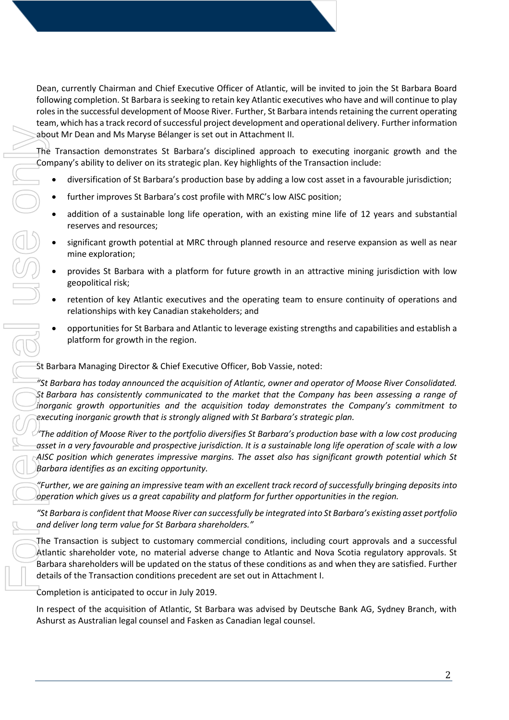Dean, currently Chairman and Chief Executive Officer of Atlantic, will be invited to join the St Barbara Board following completion. St Barbara is seeking to retain key Atlantic executives who have and will continue to play roles in the successful development of Moose River. Further, St Barbara intendsretaining the current operating team, which has a track record of successful project development and operational delivery. Further information about Mr Dean and Ms Maryse Bélanger is set out in Attachment II.

The Transaction demonstrates St Barbara's disciplined approach to executing inorganic growth and the Company's ability to deliver on its strategic plan. Key highlights of the Transaction include:

- diversification of St Barbara's production base by adding a low cost asset in a favourable jurisdiction;
- further improves St Barbara's cost profile with MRC's low AISC position;
- addition of a sustainable long life operation, with an existing mine life of 12 years and substantial reserves and resources;
- significant growth potential at MRC through planned resource and reserve expansion as well as near mine exploration;
- provides St Barbara with a platform for future growth in an attractive mining jurisdiction with low geopolitical risk;
- retention of key Atlantic executives and the operating team to ensure continuity of operations and relationships with key Canadian stakeholders; and
- opportunities for St Barbara and Atlantic to leverage existing strengths and capabilities and establish a platform for growth in the region.

St Barbara Managing Director & Chief Executive Officer, Bob Vassie, noted:

*"St Barbara has today announced the acquisition of Atlantic, owner and operator of Moose River Consolidated. St Barbara has consistently communicated to the market that the Company has been assessing a range of inorganic growth opportunities and the acquisition today demonstrates the Company's commitment to executing inorganic growth that is strongly aligned with St Barbara's strategic plan.*

*"The addition of Moose River to the portfolio diversifies St Barbara's production base with a low cost producing asset in a very favourable and prospective jurisdiction. It is a sustainable long life operation of scale with a low AISC position which generates impressive margins. The asset also has significant growth potential which St Barbara identifies as an exciting opportunity.*

*"Further, we are gaining an impressive team with an excellent track record of successfully bringing deposits into operation which gives us a great capability and platform for further opportunities in the region.*

*"St Barbara is confident that Moose River can successfully be integrated into St Barbara's existing asset portfolio and deliver long term value for St Barbara shareholders."*

The Transaction is subject to customary commercial conditions, including court approvals and a successful Atlantic shareholder vote, no material adverse change to Atlantic and Nova Scotia regulatory approvals. St Barbara shareholders will be updated on the status of these conditions as and when they are satisfied. Further details of the Transaction conditions precedent are set out in Attachment I.

Completion is anticipated to occur in July 2019.

In respect of the acquisition of Atlantic, St Barbara was advised by Deutsche Bank AG, Sydney Branch, with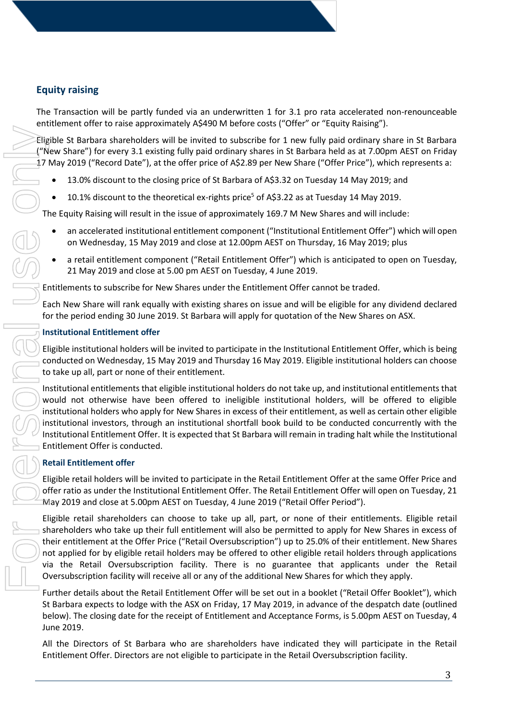# **Equity raising**

The Transaction will be partly funded via an underwritten 1 for 3.1 pro rata accelerated non-renounceable entitlement offer to raise approximately A\$490 M before costs ("Offer" or "Equity Raising").

Eligible St Barbara shareholders will be invited to subscribe for 1 new fully paid ordinary share in St Barbara ("New Share") for every 3.1 existing fully paid ordinary shares in St Barbara held as at 7.00pm AEST on Friday 17 May 2019 ("Record Date"), at the offer price of A\$2.89 per New Share ("Offer Price"), which represents a:

- 13.0% discount to the closing price of St Barbara of A\$3.32 on Tuesday 14 May 2019; and
- 10.1% discount to the theoretical ex-rights price<sup>5</sup> of A\$3.22 as at Tuesday 14 May 2019.

The Equity Raising will result in the issue of approximately 169.7 M New Shares and will include:

- an accelerated institutional entitlement component ("Institutional Entitlement Offer") which will open on Wednesday, 15 May 2019 and close at 12.00pm AEST on Thursday, 16 May 2019; plus
- a retail entitlement component ("Retail Entitlement Offer") which is anticipated to open on Tuesday, 21 May 2019 and close at 5.00 pm AEST on Tuesday, 4 June 2019.

Entitlements to subscribe for New Shares under the Entitlement Offer cannot be traded.

Each New Share will rank equally with existing shares on issue and will be eligible for any dividend declared for the period ending 30 June 2019. St Barbara will apply for quotation of the New Shares on ASX.

### **Institutional Entitlement offer**

Eligible institutional holders will be invited to participate in the Institutional Entitlement Offer, which is being conducted on Wednesday, 15 May 2019 and Thursday 16 May 2019. Eligible institutional holders can choose to take up all, part or none of their entitlement.

Institutional entitlements that eligible institutional holders do not take up, and institutional entitlements that would not otherwise have been offered to ineligible institutional holders, will be offered to eligible institutional holders who apply for New Shares in excess of their entitlement, as well as certain other eligible institutional investors, through an institutional shortfall book build to be conducted concurrently with the Institutional Entitlement Offer. It is expected that St Barbara will remain in trading halt while the Institutional Entitlement Offer is conducted.

## **Retail Entitlement offer**

Eligible retail holders will be invited to participate in the Retail Entitlement Offer at the same Offer Price and offer ratio as under the Institutional Entitlement Offer. The Retail Entitlement Offer will open on Tuesday, 21 May 2019 and close at 5.00pm AEST on Tuesday, 4 June 2019 ("Retail Offer Period").

Eligible retail shareholders can choose to take up all, part, or none of their entitlements. Eligible retail shareholders who take up their full entitlement will also be permitted to apply for New Shares in excess of their entitlement at the Offer Price ("Retail Oversubscription") up to 25.0% of their entitlement. New Shares not applied for by eligible retail holders may be offered to other eligible retail holders through applications via the Retail Oversubscription facility. There is no guarantee that applicants under the Retail Oversubscription facility will receive all or any of the additional New Shares for which they apply. English 5:1 Barbara shareholes will be invited to subscribe for 1 new fully paid ordinary share  $\sim 1$  Now 2019 [Record Dotel, A sixtup divided ordinary share in Si Eleibara are 200 pm A sixtup (My and particle in the Ret

Further details about the Retail Entitlement Offer will be set out in a booklet ("Retail Offer Booklet"), which St Barbara expects to lodge with the ASX on Friday, 17 May 2019, in advance of the despatch date (outlined below). The closing date for the receipt of Entitlement and Acceptance Forms, is 5.00pm AEST on Tuesday, 4 June 2019.

All the Directors of St Barbara who are shareholders have indicated they will participate in the Retail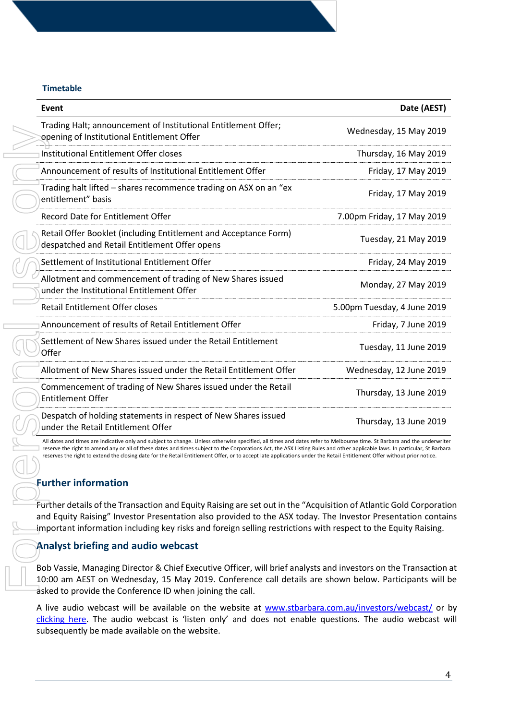#### **Timetable**

| Event                                                                                                                                                                                                                                                                                                                                                                                                                                                                                                                           | Date (AEST)                 |
|---------------------------------------------------------------------------------------------------------------------------------------------------------------------------------------------------------------------------------------------------------------------------------------------------------------------------------------------------------------------------------------------------------------------------------------------------------------------------------------------------------------------------------|-----------------------------|
| Trading Halt; announcement of Institutional Entitlement Offer;<br>opening of Institutional Entitlement Offer                                                                                                                                                                                                                                                                                                                                                                                                                    | Wednesday, 15 May 2019      |
| Institutional Entitlement Offer closes                                                                                                                                                                                                                                                                                                                                                                                                                                                                                          | Thursday, 16 May 2019       |
| Announcement of results of Institutional Entitlement Offer                                                                                                                                                                                                                                                                                                                                                                                                                                                                      | Friday, 17 May 2019         |
| Trading halt lifted - shares recommence trading on ASX on an "ex<br>entitlement" basis                                                                                                                                                                                                                                                                                                                                                                                                                                          | Friday, 17 May 2019         |
| <b>Record Date for Entitlement Offer</b>                                                                                                                                                                                                                                                                                                                                                                                                                                                                                        | 7.00pm Friday, 17 May 2019  |
| Retail Offer Booklet (including Entitlement and Acceptance Form)<br>despatched and Retail Entitlement Offer opens                                                                                                                                                                                                                                                                                                                                                                                                               | Tuesday, 21 May 2019        |
| Settlement of Institutional Entitlement Offer                                                                                                                                                                                                                                                                                                                                                                                                                                                                                   | Friday, 24 May 2019         |
| Allotment and commencement of trading of New Shares issued<br>under the Institutional Entitlement Offer                                                                                                                                                                                                                                                                                                                                                                                                                         | Monday, 27 May 2019         |
| Retail Entitlement Offer closes                                                                                                                                                                                                                                                                                                                                                                                                                                                                                                 | 5.00pm Tuesday, 4 June 2019 |
| Announcement of results of Retail Entitlement Offer                                                                                                                                                                                                                                                                                                                                                                                                                                                                             | Friday, 7 June 2019         |
| Settlement of New Shares issued under the Retail Entitlement<br>Offer                                                                                                                                                                                                                                                                                                                                                                                                                                                           | Tuesday, 11 June 2019       |
| Allotment of New Shares issued under the Retail Entitlement Offer                                                                                                                                                                                                                                                                                                                                                                                                                                                               | Wednesday, 12 June 2019     |
| Commencement of trading of New Shares issued under the Retail<br><b>Entitlement Offer</b>                                                                                                                                                                                                                                                                                                                                                                                                                                       | Thursday, 13 June 2019      |
| Despatch of holding statements in respect of New Shares issued<br>under the Retail Entitlement Offer                                                                                                                                                                                                                                                                                                                                                                                                                            | Thursday, 13 June 2019      |
| All dates and times are indicative only and subject to change. Unless otherwise specified, all times and dates refer to Melbourne time. St Barbara and the underwriter<br>reserve the right to amend any or all of these dates and times subject to the Corporations Act, the ASX Listing Rules and other applicable laws. In particular, St Barbara<br>reserves the right to extend the closing date for the Retail Entitlement Offer, or to accept late applications under the Retail Entitlement Offer without prior notice. |                             |
| <b>Further information</b>                                                                                                                                                                                                                                                                                                                                                                                                                                                                                                      |                             |
| Further details of the Transaction and Equity Raising are set out in the "Acquisition of Atlantic Gold Corporatio<br>and Equity Raising" Investor Presentation also provided to the ASX today. The Investor Presentation contair<br>important information including key risks and foreign selling restrictions with respect to the Equity Raising.                                                                                                                                                                              |                             |
| <b>Analyst briefing and audio webcast</b>                                                                                                                                                                                                                                                                                                                                                                                                                                                                                       |                             |
| Bob Vassie, Managing Director & Chief Executive Officer, will brief analysts and investors on the Transaction<br>10:00 am AEST on Wednesday, 15 May 2019. Conference call details are shown below. Participants will b<br>asked to provide the Conference ID when joining the call.                                                                                                                                                                                                                                             |                             |
| A live audio webcast will be available on the website at www.stbarbara.com.au/investors/webcast/ or b<br>clicking here. The audio webcast is 'listen only' and does not enable questions. The audio webcast w<br>subsequently be made available on the website.                                                                                                                                                                                                                                                                 |                             |

## **Further information**

## **Analyst briefing and audio webcast**

4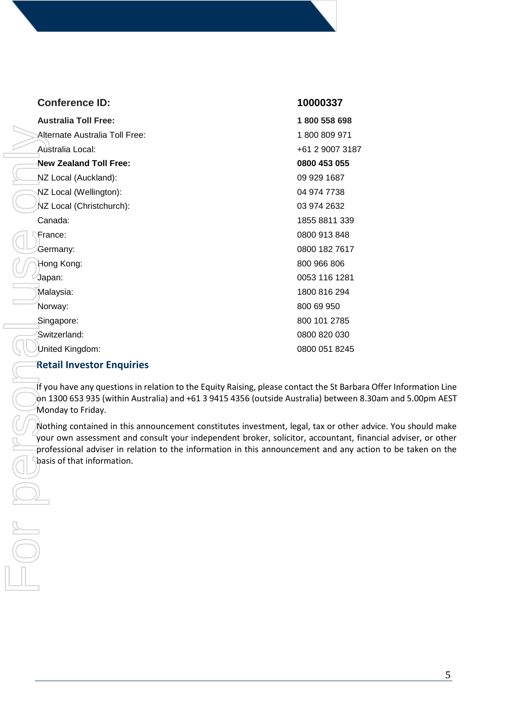| <b>Conference ID:</b>                                                                                                                                                                                                                                                                                                                                                                                                                                                                                 | 10000337        |
|-------------------------------------------------------------------------------------------------------------------------------------------------------------------------------------------------------------------------------------------------------------------------------------------------------------------------------------------------------------------------------------------------------------------------------------------------------------------------------------------------------|-----------------|
| <b>Australia Toll Free:</b>                                                                                                                                                                                                                                                                                                                                                                                                                                                                           | 1800 558 698    |
| Alternate Australia Toll Free:                                                                                                                                                                                                                                                                                                                                                                                                                                                                        | 1800809971      |
| Australia Local:                                                                                                                                                                                                                                                                                                                                                                                                                                                                                      | +61 2 9007 3187 |
| <b>New Zealand Toll Free:</b>                                                                                                                                                                                                                                                                                                                                                                                                                                                                         | 0800 453 055    |
| NZ Local (Auckland):                                                                                                                                                                                                                                                                                                                                                                                                                                                                                  | 09 929 1687     |
| NZ Local (Wellington):                                                                                                                                                                                                                                                                                                                                                                                                                                                                                | 04 974 7738     |
| NZ Local (Christchurch):                                                                                                                                                                                                                                                                                                                                                                                                                                                                              | 03 974 2632     |
| Canada:                                                                                                                                                                                                                                                                                                                                                                                                                                                                                               | 1855 8811 339   |
| France:                                                                                                                                                                                                                                                                                                                                                                                                                                                                                               | 0800 913 848    |
| Germany:                                                                                                                                                                                                                                                                                                                                                                                                                                                                                              | 0800 182 7617   |
| Hong Kong:                                                                                                                                                                                                                                                                                                                                                                                                                                                                                            | 800 966 806     |
| Japan:                                                                                                                                                                                                                                                                                                                                                                                                                                                                                                | 0053 116 1281   |
| Malaysia:                                                                                                                                                                                                                                                                                                                                                                                                                                                                                             | 1800 816 294    |
| Norway:                                                                                                                                                                                                                                                                                                                                                                                                                                                                                               | 800 69 950      |
| Singapore:                                                                                                                                                                                                                                                                                                                                                                                                                                                                                            | 800 101 2785    |
| Switzerland:                                                                                                                                                                                                                                                                                                                                                                                                                                                                                          | 0800 820 030    |
| United Kingdom:                                                                                                                                                                                                                                                                                                                                                                                                                                                                                       | 0800 051 8245   |
| <b>Retail Investor Enquiries</b>                                                                                                                                                                                                                                                                                                                                                                                                                                                                      |                 |
| If you have any questions in relation to the Equity Raising, please contact the St Barba<br>on 1300 653 935 (within Australia) and +61 3 9415 4356 (outside Australia) between {<br>Monday to Friday.<br>Nothing contained in this announcement constitutes investment, legal, tax or other<br>your own assessment and consult your independent broker, solicitor, accountant, fi<br>professional adviser in relation to the information in this announcement and any a<br>basis of that information. |                 |
|                                                                                                                                                                                                                                                                                                                                                                                                                                                                                                       |                 |

### **Retail Investor Enquiries**

If you have any questions in relation to the Equity Raising, please contact the St Barbara Offer Information Line on 1300 653 935 (within Australia) and +61 3 9415 4356 (outside Australia) between 8.30am and 5.00pm AEST Monday to Friday.

Nothing contained in this announcement constitutes investment, legal, tax or other advice. You should make your own assessment and consult your independent broker, solicitor, accountant, financial adviser, or other professional adviser in relation to the information in this announcement and any action to be taken on the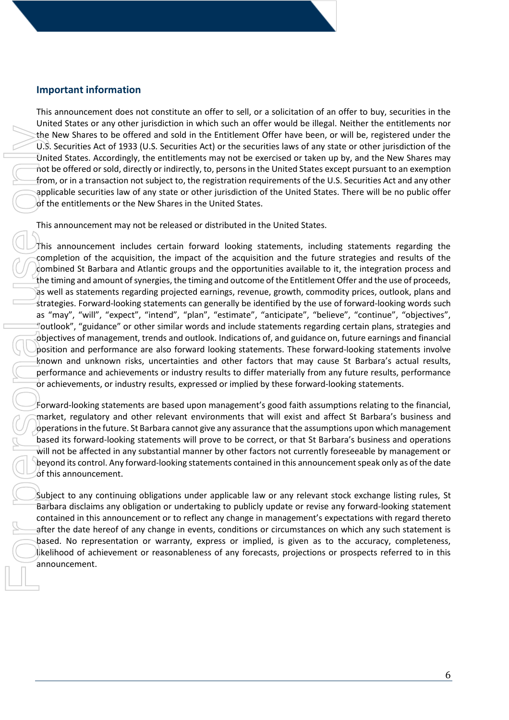## **Important information**

This announcement does not constitute an offer to sell, or a solicitation of an offer to buy, securities in the United States or any other jurisdiction in which such an offer would be illegal. Neither the entitlements nor the New Shares to be offered and sold in the Entitlement Offer have been, or will be, registered under the U.S. Securities Act of 1933 (U.S. Securities Act) or the securities laws of any state or other jurisdiction of the United States. Accordingly, the entitlements may not be exercised or taken up by, and the New Shares may not be offered or sold, directly or indirectly, to, persons in the United States except pursuant to an exemption from, or in a transaction not subject to, the registration requirements of the U.S. Securities Act and any other applicable securities law of any state or other jurisdiction of the United States. There will be no public offer of the entitlements or the New Shares in the United States.

This announcement may not be released or distributed in the United States.

This announcement includes certain forward looking statements, including statements regarding the completion of the acquisition, the impact of the acquisition and the future strategies and results of the combined St Barbara and Atlantic groups and the opportunities available to it, the integration process and the timing and amount of synergies, the timing and outcome of the Entitlement Offer and the use of proceeds, as well as statements regarding projected earnings, revenue, growth, commodity prices, outlook, plans and strategies. Forward-looking statements can generally be identified by the use of forward-looking words such as "may", "will", "expect", "intend", "plan", "estimate", "anticipate", "believe", "continue", "objectives", "outlook", "guidance" or other similar words and include statements regarding certain plans, strategies and objectives of management, trends and outlook. Indications of, and guidance on, future earnings and financial position and performance are also forward looking statements. These forward-looking statements involve known and unknown risks, uncertainties and other factors that may cause St Barbara's actual results, performance and achievements or industry results to differ materially from any future results, performance or achievements, or industry results, expressed or implied by these forward-looking statements.

Forward-looking statements are based upon management's good faith assumptions relating to the financial, market, regulatory and other relevant environments that will exist and affect St Barbara's business and operations in the future. St Barbara cannot give any assurance that the assumptions upon which management based its forward-looking statements will prove to be correct, or that St Barbara's business and operations will not be affected in any substantial manner by other factors not currently foreseeable by management or beyond its control. Any forward-looking statements contained in this announcement speak only as of the date of this announcement.

Subject to any continuing obligations under applicable law or any relevant stock exchange listing rules, St Barbara disclaims any obligation or undertaking to publicly update or revise any forward-looking statement contained in this announcement or to reflect any change in management's expectations with regard thereto after the date hereof of any change in events, conditions or circumstances on which any such statement is based. No representation or warranty, express or implied, is given as to the accuracy, completeness, likelihood of achievement or reasonableness of any forecasts, projections or prospects referred to in this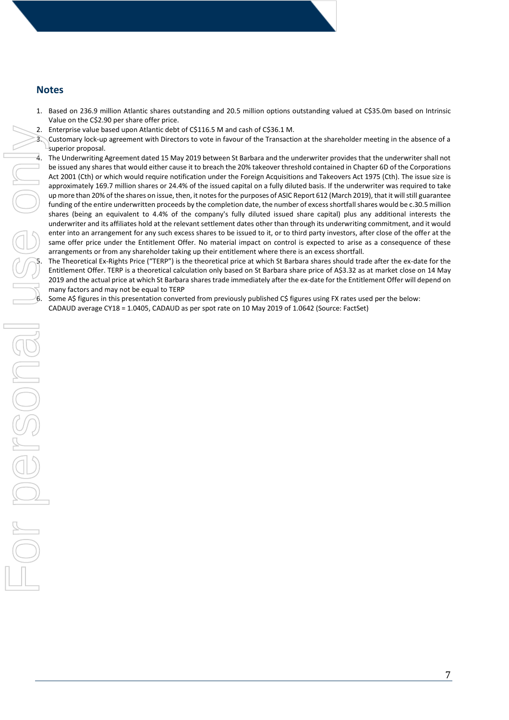### **Notes**

- 1. Based on 236.9 million Atlantic shares outstanding and 20.5 million options outstanding valued at C\$35.0m based on Intrinsic Value on the C\$2.90 per share offer price.
- 2. Enterprise value based upon Atlantic debt of C\$116.5 M and cash of C\$36.1 M.
- Customary lock-up agreement with Directors to vote in favour of the Transaction at the shareholder meeting in the absence of a superior proposal.
- 4. The Underwriting Agreement dated 15 May 2019 between St Barbara and the underwriter provides that the underwriter shall not be issued any shares that would either cause it to breach the 20% takeover threshold contained in Chapter 6D of the Corporations Act 2001 (Cth) or which would require notification under the Foreign Acquisitions and Takeovers Act 1975 (Cth). The issue size is approximately 169.7 million shares or 24.4% of the issued capital on a fully diluted basis. If the underwriter was required to take up more than 20% of the shares on issue, then, it notes for the purposes of ASIC Report 612 (March 2019), that it will still guarantee funding of the entire underwritten proceeds by the completion date, the number of excess shortfall shares would be c.30.5 million shares (being an equivalent to 4.4% of the company's fully diluted issued share capital) plus any additional interests the underwriter and its affiliates hold at the relevant settlement dates other than through its underwriting commitment, and it would enter into an arrangement for any such excess shares to be issued to it, or to third party investors, after close of the offer at the same offer price under the Entitlement Offer. No material impact on control is expected to arise as a consequence of these arrangements or from any shareholder taking up their entitlement where there is an excess shortfall. 2. Exterime to subsect the controller than the state of C318 and CS18 and CS18 and CS18 and CS18 and CB1 as the galaxy assume that is the state of the state of the state of the state of the state of the state of the state

The Theoretical Ex-Rights Price ("TERP") is the theoretical price at which St Barbara shares should trade after the ex-date for the Entitlement Offer. TERP is a theoretical calculation only based on St Barbara share price of A\$3.32 as at market close on 14 May 2019 and the actual price at which St Barbara shares trade immediately after the ex-date for the Entitlement Offer will depend on many factors and may not be equal to TERP

Some A\$ figures in this presentation converted from previously published C\$ figures using FX rates used per the below: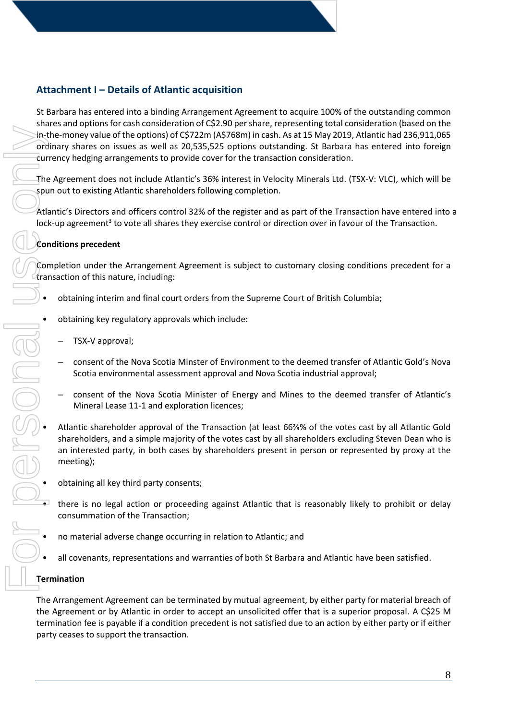# **Attachment I – Details of Atlantic acquisition**

St Barbara has entered into a binding Arrangement Agreement to acquire 100% of the outstanding common shares and options for cash consideration of C\$2.90 per share, representing total consideration (based on the in-the-money value of the options) of C\$722m (A\$768m) in cash. As at 15 May 2019, Atlantic had 236,911,065 ordinary shares on issues as well as 20,535,525 options outstanding. St Barbara has entered into foreign currency hedging arrangements to provide cover for the transaction consideration.

The Agreement does not include Atlantic's 36% interest in Velocity Minerals Ltd. (TSX-V: VLC), which will be spun out to existing Atlantic shareholders following completion.

Atlantic's Directors and officers control 32% of the register and as part of the Transaction have entered into a lock-up agreement<sup>3</sup> to vote all shares they exercise control or direction over in favour of the Transaction.

### **Conditions precedent**

Completion under the Arrangement Agreement is subject to customary closing conditions precedent for a transaction of this nature, including:

- obtaining interim and final court orders from the Supreme Court of British Columbia;
- obtaining key regulatory approvals which include:
	- TSX-V approval;
	- consent of the Nova Scotia Minster of Environment to the deemed transfer of Atlantic Gold's Nova Scotia environmental assessment approval and Nova Scotia industrial approval;
	- consent of the Nova Scotia Minister of Energy and Mines to the deemed transfer of Atlantic's Mineral Lease 11-1 and exploration licences;
- Atlantic shareholder approval of the Transaction (at least 66⅔% of the votes cast by all Atlantic Gold shareholders, and a simple majority of the votes cast by all shareholders excluding Steven Dean who is an interested party, in both cases by shareholders present in person or represented by proxy at the meeting);
- obtaining all key third party consents;
- there is no legal action or proceeding against Atlantic that is reasonably likely to prohibit or delay consummation of the Transaction;
- no material adverse change occurring in relation to Atlantic; and
- all covenants, representations and warranties of both St Barbara and Atlantic have been satisfied.

#### **Termination**

The Arrangement Agreement can be terminated by mutual agreement, by either party for material breach of the Agreement or by Atlantic in order to accept an unsolicited offer that is a superior proposal. A C\$25 M termination fee is payable if a condition precedent is not satisfied due to an action by either party or if either